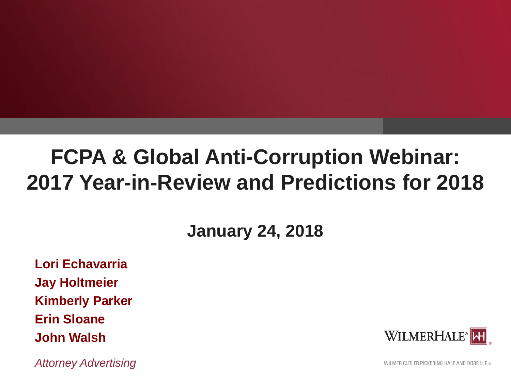## **FCPA & Global Anti-Corruption Webinar: 2017 Year-in-Review and Predictions for 2018**

### **January 24, 2018**

**Lori Echavarria Jay Holtmeier Kimberly Parker Erin Sloane John Walsh**

*Attorney Advertising*

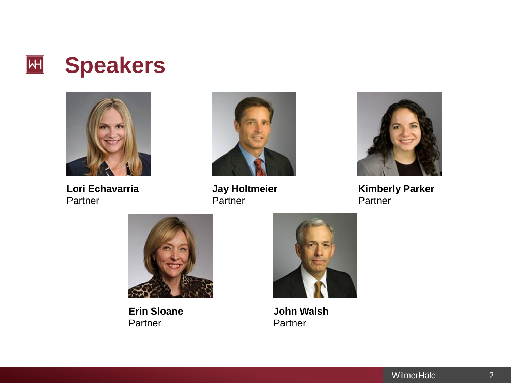



**Lori Echavarria Partner** 



**Jay Holtmeier** Partner



**Kimberly Parker** Partner



**Erin Sloane Partner** 



**John Walsh** Partner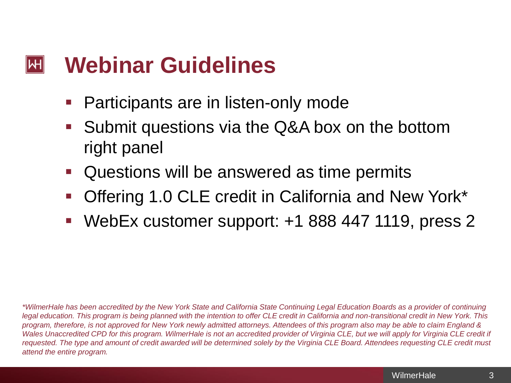#### **Webinar Guidelines**  $\mathsf{|\mathsf{H}|}$

- Participants are in listen-only mode
- Submit questions via the Q&A box on the bottom right panel
- Questions will be answered as time permits
- Offering 1.0 CLE credit in California and New York\*
- WebEx customer support: +1 888 447 1119, press 2

*\*WilmerHale has been accredited by the New York State and California State Continuing Legal Education Boards as a provider of continuing legal education. This program is being planned with the intention to offer CLE credit in California and non-transitional credit in New York. This program, therefore, is not approved for New York newly admitted attorneys. Attendees of this program also may be able to claim England & Wales Unaccredited CPD for this program. WilmerHale is not an accredited provider of Virginia CLE, but we will apply for Virginia CLE credit if requested. The type and amount of credit awarded will be determined solely by the Virginia CLE Board. Attendees requesting CLE credit must attend the entire program.*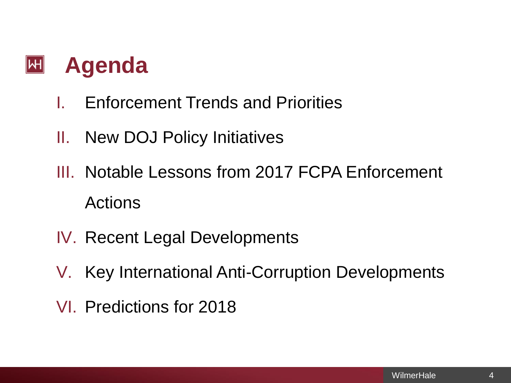#### **Agenda**  $|\mathsf{H}|$

- I. Enforcement Trends and Priorities
- II. New DOJ Policy Initiatives
- III. Notable Lessons from 2017 FCPA Enforcement Actions
- IV. Recent Legal Developments
- V. Key International Anti-Corruption Developments
- VI. Predictions for 2018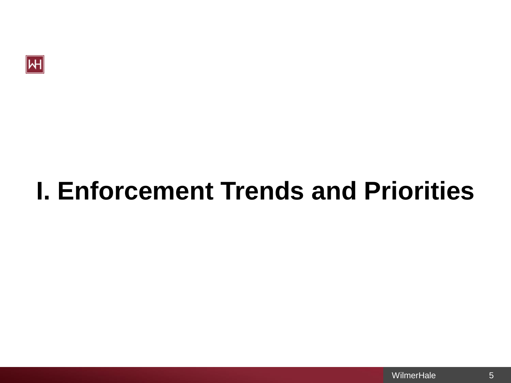

# **I. Enforcement Trends and Priorities**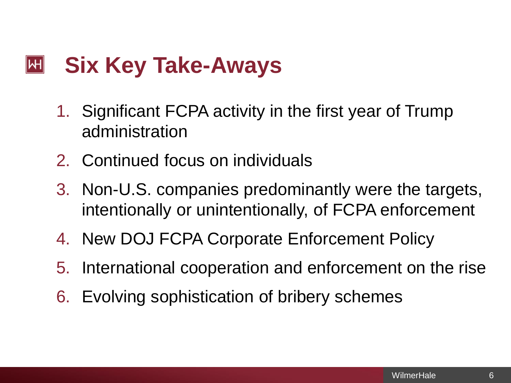#### **Six Key Take-Aways**  $\left\vert \mathsf{H}\right\vert$

- 1. Significant FCPA activity in the first year of Trump administration
- 2. Continued focus on individuals
- 3. Non-U.S. companies predominantly were the targets, intentionally or unintentionally, of FCPA enforcement
- 4. New DOJ FCPA Corporate Enforcement Policy
- 5. International cooperation and enforcement on the rise
- 6. Evolving sophistication of bribery schemes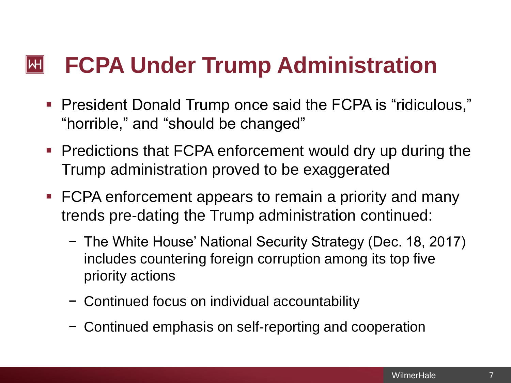#### **FCPA Under Trump Administration**  $\left\Vert \mathsf{H}\right\Vert$

- President Donald Trump once said the FCPA is "ridiculous," "horrible," and "should be changed"
- **Predictions that FCPA enforcement would dry up during the** Trump administration proved to be exaggerated
- FCPA enforcement appears to remain a priority and many trends pre-dating the Trump administration continued:
	- − The White House' National Security Strategy (Dec. 18, 2017) includes countering foreign corruption among its top five priority actions
	- − Continued focus on individual accountability
	- − Continued emphasis on self-reporting and cooperation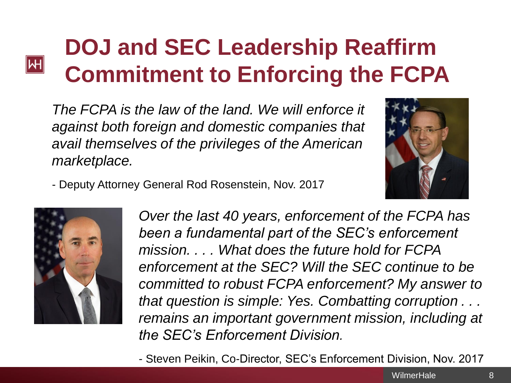## **DOJ and SEC Leadership Reaffirm Commitment to Enforcing the FCPA**

*The FCPA is the law of the land. We will enforce it against both foreign and domestic companies that avail themselves of the privileges of the American marketplace.*



- Deputy Attorney General Rod Rosenstein, Nov. 2017



**M** 

*Over the last 40 years, enforcement of the FCPA has been a fundamental part of the SEC's enforcement mission. . . . What does the future hold for FCPA enforcement at the SEC? Will the SEC continue to be committed to robust FCPA enforcement? My answer to that question is simple: Yes. Combatting corruption . . . remains an important government mission, including at the SEC's Enforcement Division.*

- Steven Peikin, Co-Director, SEC's Enforcement Division, Nov. 2017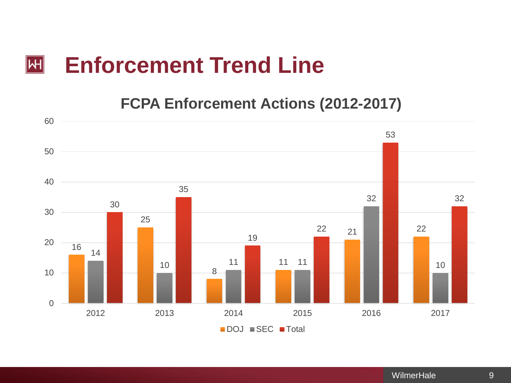#### **Enforcement Trend Line**  $|\mathsf{H}|$

**FCPA Enforcement Actions (2012-2017)**

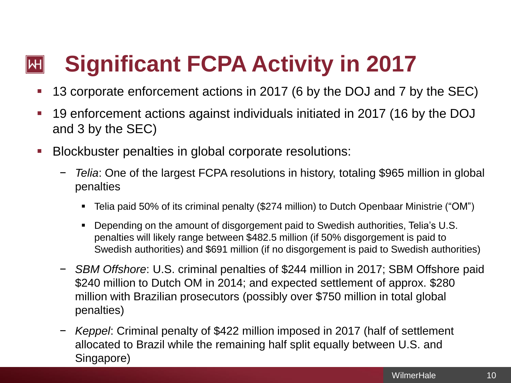#### **Significant FCPA Activity in 2017**  $\mathsf{|\mathsf{H}|}$

- 13 corporate enforcement actions in 2017 (6 by the DOJ and 7 by the SEC)
- 19 enforcement actions against individuals initiated in 2017 (16 by the DOJ and 3 by the SEC)
- Blockbuster penalties in global corporate resolutions:
	- − *Telia*: One of the largest FCPA resolutions in history, totaling \$965 million in global penalties
		- Telia paid 50% of its criminal penalty (\$274 million) to Dutch Openbaar Ministrie ("OM")
		- Depending on the amount of disgorgement paid to Swedish authorities, Telia's U.S. penalties will likely range between \$482.5 million (if 50% disgorgement is paid to Swedish authorities) and \$691 million (if no disgorgement is paid to Swedish authorities)
	- − *SBM Offshore*: U.S. criminal penalties of \$244 million in 2017; SBM Offshore paid \$240 million to Dutch OM in 2014; and expected settlement of approx. \$280 million with Brazilian prosecutors (possibly over \$750 million in total global penalties)
	- − *Keppel*: Criminal penalty of \$422 million imposed in 2017 (half of settlement allocated to Brazil while the remaining half split equally between U.S. and Singapore)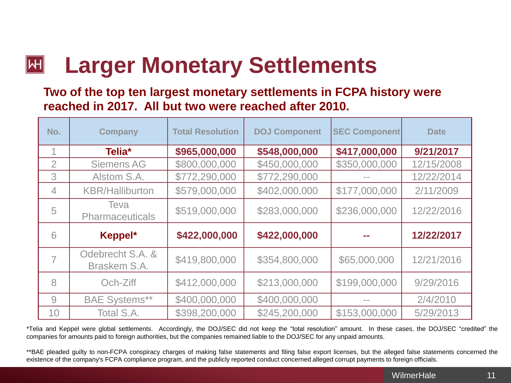#### **Larger Monetary Settlements** $\left\Vert \mathsf{H}\right\Vert$

**Two of the top ten largest monetary settlements in FCPA history were reached in 2017. All but two were reached after 2010.** 

| No.            | Company                          | <b>Total Resolution</b> | <b>DOJ Component</b> | <b>SEC Component</b> | <b>Date</b> |
|----------------|----------------------------------|-------------------------|----------------------|----------------------|-------------|
| 1              | Telia*                           | \$965,000,000           | \$548,000,000        | \$417,000,000        | 9/21/2017   |
| $\overline{2}$ | <b>Siemens AG</b>                | \$800,000,000           | \$450,000,000        | \$350,000,000        | 12/15/2008  |
| 3              | Alstom S.A.                      | \$772,290,000           | \$772,290,000        |                      | 12/22/2014  |
| $\overline{4}$ | <b>KBR/Halliburton</b>           | \$579,000,000           | \$402,000,000        | \$177,000,000        | 2/11/2009   |
| 5              | Teva<br><b>Pharmaceuticals</b>   | \$519,000,000           | \$283,000,000        | \$236,000,000        | 12/22/2016  |
| 6              | Keppel*                          | \$422,000,000           | \$422,000,000        |                      | 12/22/2017  |
|                | Odebrecht S.A. &<br>Braskem S.A. | \$419,800,000           | \$354,800,000        | \$65,000,000         | 12/21/2016  |
| 8              | Och-Ziff                         | \$412,000,000           | \$213,000,000        | \$199,000,000        | 9/29/2016   |
| 9              | <b>BAE Systems**</b>             | \$400,000,000           | \$400,000,000        |                      | 2/4/2010    |
| 10             | Total S.A.                       | \$398,200,000           | \$245,200,000        | \$153,000,000        | 5/29/2013   |

\*Telia and Keppel were global settlements. Accordingly, the DOJ/SEC did not keep the "total resolution" amount. In these cases, the DOJ/SEC "credited" the companies for amounts paid to foreign authorities, but the companies remained liable to the DOJ/SEC for any unpaid amounts.

\*\*BAE pleaded guilty to non-FCPA conspiracy charges of making false statements and filing false export licenses, but the alleged false statements concerned the existence of the company's FCPA compliance program, and the publicly reported conduct concerned alleged corrupt payments to foreign officials.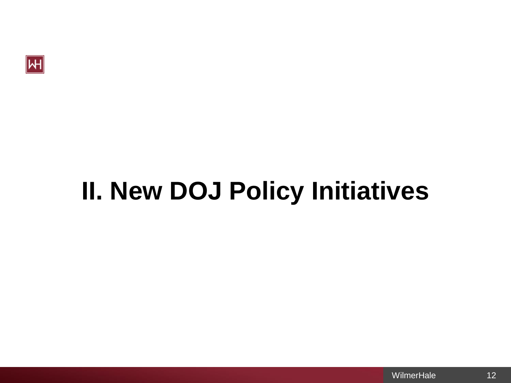

# **II. New DOJ Policy Initiatives**

12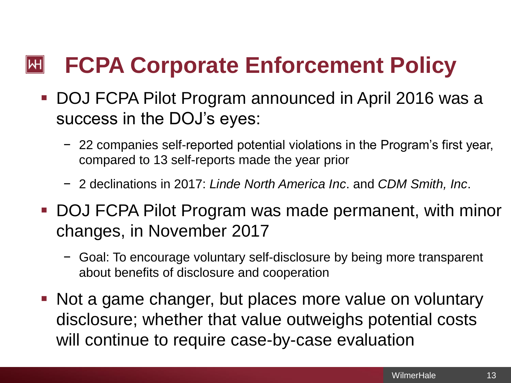#### **FCPA Corporate Enforcement Policy**  $\left\Vert \mathsf{H}\right\Vert$

- DOJ FCPA Pilot Program announced in April 2016 was a success in the DOJ's eyes:
	- − 22 companies self-reported potential violations in the Program's first year, compared to 13 self-reports made the year prior
	- − 2 declinations in 2017: *Linde North America Inc*. and *CDM Smith, Inc*.
- DOJ FCPA Pilot Program was made permanent, with minor changes, in November 2017
	- − Goal: To encourage voluntary self-disclosure by being more transparent about benefits of disclosure and cooperation
- Not a game changer, but places more value on voluntary disclosure; whether that value outweighs potential costs will continue to require case-by-case evaluation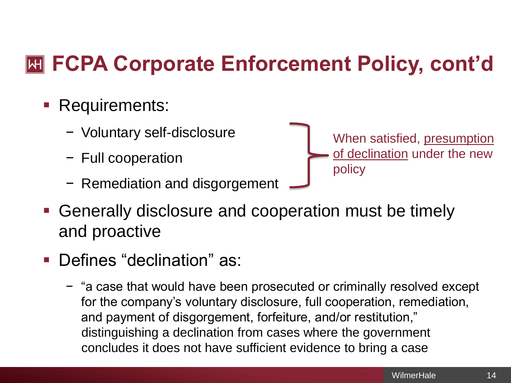## **FCPA Corporate Enforcement Policy, cont'd**

- **Requirements:** 
	- − Voluntary self-disclosure
	- − Full cooperation
	- − Remediation and disgorgement
- When satisfied, presumption of declination under the new policy
- Generally disclosure and cooperation must be timely and proactive
- Defines "declination" as:
	- − "a case that would have been prosecuted or criminally resolved except for the company's voluntary disclosure, full cooperation, remediation, and payment of disgorgement, forfeiture, and/or restitution," distinguishing a declination from cases where the government concludes it does not have sufficient evidence to bring a case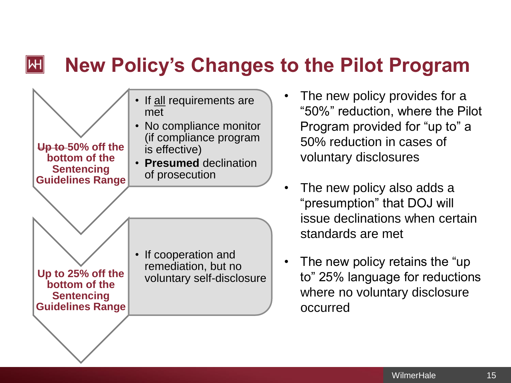#### $\left\Vert \mathsf{H}\right\Vert$ **New Policy's Changes to the Pilot Program**



- The new policy provides for a "50%" reduction, where the Pilot Program provided for "up to" a 50% reduction in cases of voluntary disclosures
- The new policy also adds a "presumption" that DOJ will issue declinations when certain standards are met
- The new policy retains the "up to" 25% language for reductions where no voluntary disclosure occurred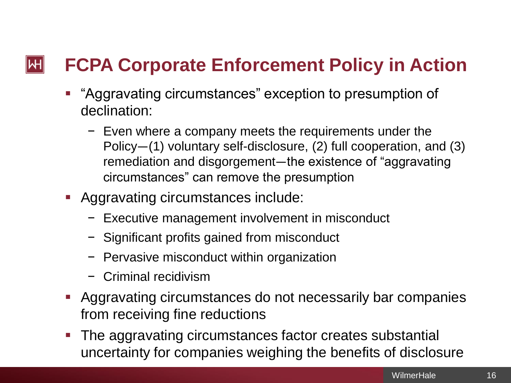#### $\mathsf{|\mathsf{H}|}$ **FCPA Corporate Enforcement Policy in Action**

- "Aggravating circumstances" exception to presumption of declination:
	- − Even where a company meets the requirements under the Policy—(1) voluntary self-disclosure, (2) full cooperation, and (3) remediation and disgorgement—the existence of "aggravating circumstances" can remove the presumption
- Aggravating circumstances include:
	- − Executive management involvement in misconduct
	- − Significant profits gained from misconduct
	- − Pervasive misconduct within organization
	- − Criminal recidivism
- Aggravating circumstances do not necessarily bar companies from receiving fine reductions
- The aggravating circumstances factor creates substantial uncertainty for companies weighing the benefits of disclosure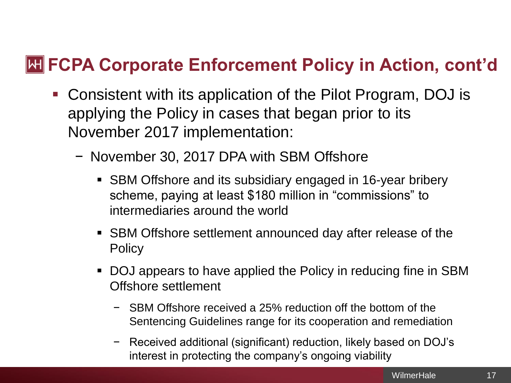### **HETT CPA Corporate Enforcement Policy in Action, cont'd**

- Consistent with its application of the Pilot Program, DOJ is applying the Policy in cases that began prior to its November 2017 implementation:
	- − November 30, 2017 DPA with SBM Offshore
		- SBM Offshore and its subsidiary engaged in 16-year bribery scheme, paying at least \$180 million in "commissions" to intermediaries around the world
		- SBM Offshore settlement announced day after release of the **Policy**
		- DOJ appears to have applied the Policy in reducing fine in SBM Offshore settlement
			- − SBM Offshore received a 25% reduction off the bottom of the Sentencing Guidelines range for its cooperation and remediation
			- − Received additional (significant) reduction, likely based on DOJ's interest in protecting the company's ongoing viability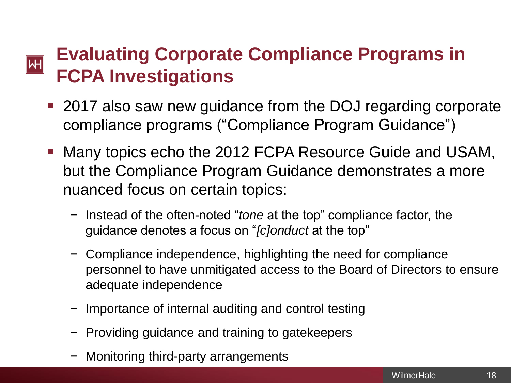#### **Evaluating Corporate Compliance Programs in**   $\vert H \vert$ **FCPA Investigations**

- 2017 also saw new guidance from the DOJ regarding corporate compliance programs ("Compliance Program Guidance")
- Many topics echo the 2012 FCPA Resource Guide and USAM, but the Compliance Program Guidance demonstrates a more nuanced focus on certain topics:
	- − Instead of the often-noted "*tone* at the top" compliance factor, the guidance denotes a focus on "*[c]onduct* at the top"
	- − Compliance independence, highlighting the need for compliance personnel to have unmitigated access to the Board of Directors to ensure adequate independence
	- − Importance of internal auditing and control testing
	- Froviding guidance and training to gatekeepers
	- − Monitoring third-party arrangements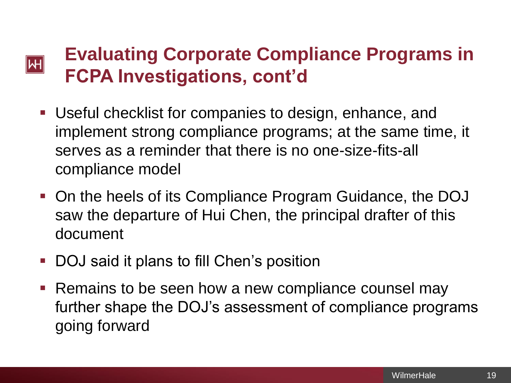#### **Evaluating Corporate Compliance Programs in**   $|\!|\mathsf{W}|\!|$ **FCPA Investigations, cont'd**

- Useful checklist for companies to design, enhance, and implement strong compliance programs; at the same time, it serves as a reminder that there is no one-size-fits-all compliance model
- On the heels of its Compliance Program Guidance, the DOJ saw the departure of Hui Chen, the principal drafter of this document
- DOJ said it plans to fill Chen's position
- Remains to be seen how a new compliance counsel may further shape the DOJ's assessment of compliance programs going forward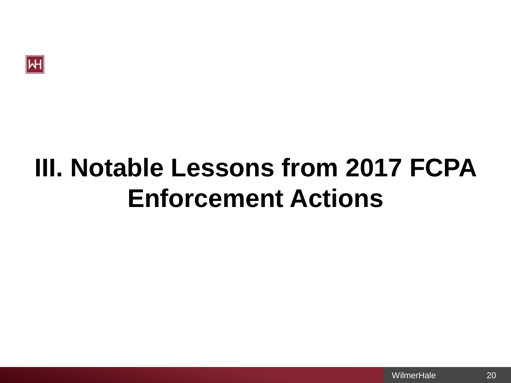

# **III. Notable Lessons from 2017 FCPA Enforcement Actions**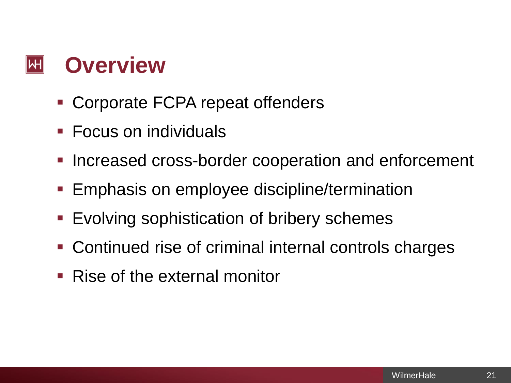#### **Overview**  $\mathbb H$

- Corporate FCPA repeat offenders
- Focus on individuals
- Increased cross-border cooperation and enforcement
- **Emphasis on employee discipline/termination**
- Evolving sophistication of bribery schemes
- Continued rise of criminal internal controls charges
- Rise of the external monitor

21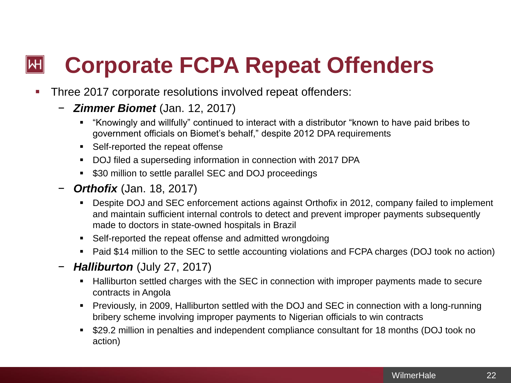#### **Corporate FCPA Repeat Offenders**  $\left\Vert \mathsf{H}\right\Vert$

- **Three 2017 corporate resolutions involved repeat offenders:** 
	- *Zimmer Biomet* (Jan. 12, 2017)
		- "Knowingly and willfully" continued to interact with a distributor "known to have paid bribes to government officials on Biomet's behalf," despite 2012 DPA requirements
		- Self-reported the repeat offense
		- DOJ filed a superseding information in connection with 2017 DPA
		- \$30 million to settle parallel SEC and DOJ proceedings
	- − *Orthofix* (Jan. 18, 2017)
		- Despite DOJ and SEC enforcement actions against Orthofix in 2012, company failed to implement and maintain sufficient internal controls to detect and prevent improper payments subsequently made to doctors in state-owned hospitals in Brazil
		- Self-reported the repeat offense and admitted wrongdoing
		- Paid \$14 million to the SEC to settle accounting violations and FCPA charges (DOJ took no action)
	- − *Halliburton* (July 27, 2017)
		- Halliburton settled charges with the SEC in connection with improper payments made to secure contracts in Angola
		- Previously, in 2009, Halliburton settled with the DOJ and SEC in connection with a long-running bribery scheme involving improper payments to Nigerian officials to win contracts
		- \$29.2 million in penalties and independent compliance consultant for 18 months (DOJ took no action)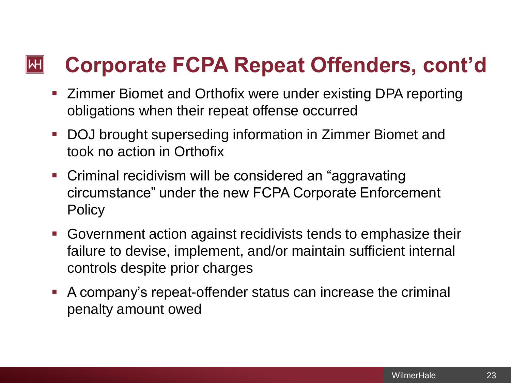#### **Corporate FCPA Repeat Offenders, cont'd**  $\left\Vert \mathsf{H}\right\Vert$

- Zimmer Biomet and Orthofix were under existing DPA reporting obligations when their repeat offense occurred
- DOJ brought superseding information in Zimmer Biomet and took no action in Orthofix
- Criminal recidivism will be considered an "aggravating" circumstance" under the new FCPA Corporate Enforcement **Policy**
- Government action against recidivists tends to emphasize their failure to devise, implement, and/or maintain sufficient internal controls despite prior charges
- A company's repeat-offender status can increase the criminal penalty amount owed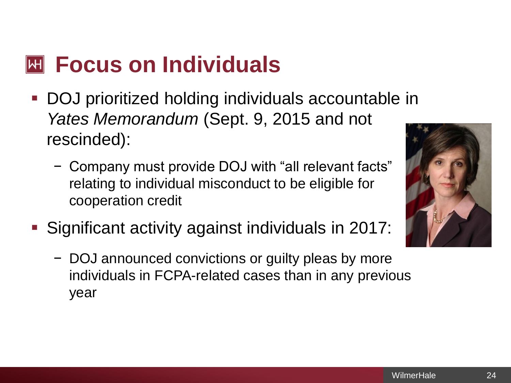## **Focus on Individuals**

- DOJ prioritized holding individuals accountable in *Yates Memorandum* (Sept. 9, 2015 and not rescinded):
	- − Company must provide DOJ with "all relevant facts" relating to individual misconduct to be eligible for cooperation credit
- Significant activity against individuals in 2017:
	- − DOJ announced convictions or guilty pleas by more individuals in FCPA-related cases than in any previous year

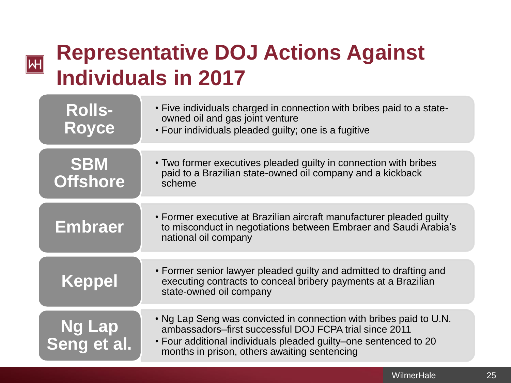### $\overline{\mathsf{H}}$

## **Representative DOJ Actions Against Individuals in 2017**

| <b>Rolls-</b><br><b>Royce</b> | • Five individuals charged in connection with bribes paid to a state-<br>owned oil and gas joint venture<br>• Four individuals pleaded guilty; one is a fugitive                                                                                 |
|-------------------------------|--------------------------------------------------------------------------------------------------------------------------------------------------------------------------------------------------------------------------------------------------|
| <b>SBM</b><br><b>Offshore</b> | • Two former executives pleaded guilty in connection with bribes<br>paid to a Brazilian state-owned oil company and a kickback<br>scheme                                                                                                         |
| <b>Embraer</b>                | • Former executive at Brazilian aircraft manufacturer pleaded guilty<br>to misconduct in negotiations between Embraer and Saudi Arabia's<br>national oil company                                                                                 |
| <b>Keppel</b>                 | • Former senior lawyer pleaded guilty and admitted to drafting and<br>executing contracts to conceal bribery payments at a Brazilian<br>state-owned oil company                                                                                  |
| <b>Ng Lap</b><br>Seng et al.  | . Ng Lap Seng was convicted in connection with bribes paid to U.N.<br>ambassadors-first successful DOJ FCPA trial since 2011<br>• Four additional individuals pleaded guilty–one sentenced to 20<br>months in prison, others awaiting sentencing |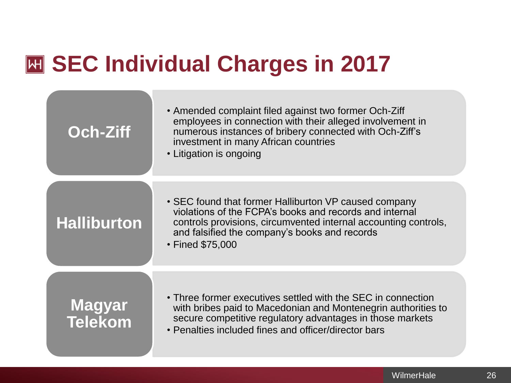## **SEC Individual Charges in 2017**

| <b>Och-Ziff</b>          | • Amended complaint filed against two former Och-Ziff<br>employees in connection with their alleged involvement in<br>numerous instances of bribery connected with Och-Ziff's<br>investment in many African countries<br>• Litigation is ongoing         |
|--------------------------|----------------------------------------------------------------------------------------------------------------------------------------------------------------------------------------------------------------------------------------------------------|
| <b>Halliburton</b>       | • SEC found that former Halliburton VP caused company<br>violations of the FCPA's books and records and internal<br>controls provisions, circumvented internal accounting controls,<br>and falsified the company's books and records<br>• Fined \$75,000 |
| Magyar<br><b>Telekom</b> | • Three former executives settled with the SEC in connection<br>with bribes paid to Macedonian and Montenegrin authorities to<br>secure competitive regulatory advantages in those markets<br>• Penalties included fines and officer/director bars       |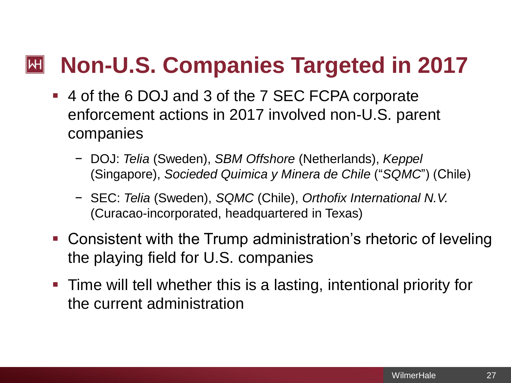#### **Non-U.S. Companies Targeted in 2017**  $\left\Vert \mathsf{H}\right\Vert$

- 4 of the 6 DOJ and 3 of the 7 SEC FCPA corporate enforcement actions in 2017 involved non-U.S. parent companies
	- − DOJ: *Telia* (Sweden), *SBM Offshore* (Netherlands), *Keppel* (Singapore), *Socieded Quimica y Minera de Chile* ("*SQMC*") (Chile)
	- − SEC: *Telia* (Sweden), *SQMC* (Chile), *Orthofix International N.V.*  (Curacao-incorporated, headquartered in Texas)
- Consistent with the Trump administration's rhetoric of leveling the playing field for U.S. companies
- **Time will tell whether this is a lasting, intentional priority for** the current administration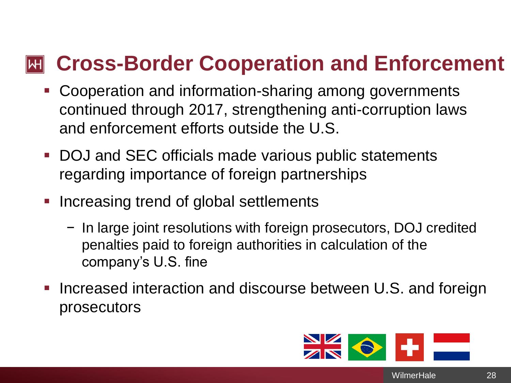### **Cross-Border Cooperation and Enforcement**

- Cooperation and information-sharing among governments continued through 2017, strengthening anti-corruption laws and enforcement efforts outside the U.S.
- DOJ and SEC officials made various public statements regarding importance of foreign partnerships
- Increasing trend of global settlements
	- − In large joint resolutions with foreign prosecutors, DOJ credited penalties paid to foreign authorities in calculation of the company's U.S. fine
- **.** Increased interaction and discourse between U.S. and foreign prosecutors



**WilmerHale** 

28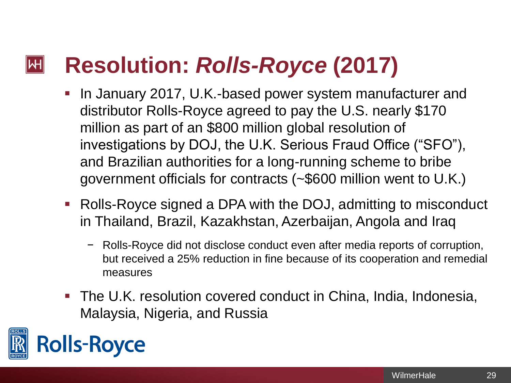#### **Resolution:** *Rolls-Royce* **(2017)**  $|\mathsf{H}|$

- In January 2017, U.K.-based power system manufacturer and distributor Rolls-Royce agreed to pay the U.S. nearly \$170 million as part of an \$800 million global resolution of investigations by DOJ, the U.K. Serious Fraud Office ("SFO"), and Brazilian authorities for a long-running scheme to bribe government officials for contracts (~\$600 million went to U.K.)
- Rolls-Royce signed a DPA with the DOJ, admitting to misconduct in Thailand, Brazil, Kazakhstan, Azerbaijan, Angola and Iraq
	- − Rolls-Royce did not disclose conduct even after media reports of corruption, but received a 25% reduction in fine because of its cooperation and remedial measures
- The U.K. resolution covered conduct in China, India, Indonesia, Malaysia, Nigeria, and Russia

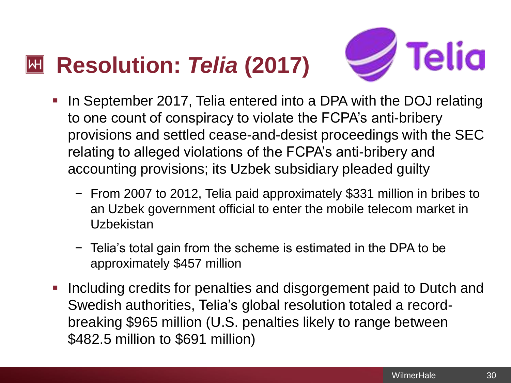#### **Resolution:** *Telia* **(2017)**  $\left\Vert \mathsf{H}\right\Vert$



- In September 2017, Telia entered into a DPA with the DOJ relating to one count of conspiracy to violate the FCPA's anti-bribery provisions and settled cease-and-desist proceedings with the SEC relating to alleged violations of the FCPA's anti-bribery and accounting provisions; its Uzbek subsidiary pleaded guilty
	- − From 2007 to 2012, Telia paid approximately \$331 million in bribes to an Uzbek government official to enter the mobile telecom market in **Uzbekistan**
	- − Telia's total gain from the scheme is estimated in the DPA to be approximately \$457 million
- Including credits for penalties and disgorgement paid to Dutch and Swedish authorities, Telia's global resolution totaled a recordbreaking \$965 million (U.S. penalties likely to range between \$482.5 million to \$691 million)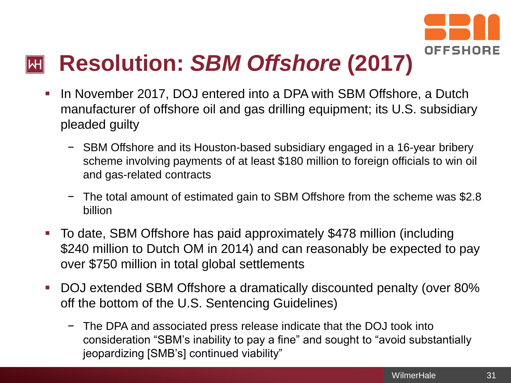

## **Resolution:** *SBM Offshore* **(2017)**

- In November 2017, DOJ entered into a DPA with SBM Offshore, a Dutch manufacturer of offshore oil and gas drilling equipment; its U.S. subsidiary pleaded guilty
	- − SBM Offshore and its Houston-based subsidiary engaged in a 16-year bribery scheme involving payments of at least \$180 million to foreign officials to win oil and gas-related contracts
	- The total amount of estimated gain to SBM Offshore from the scheme was \$2.8 billion
- To date, SBM Offshore has paid approximately \$478 million (including \$240 million to Dutch OM in 2014) and can reasonably be expected to pay over \$750 million in total global settlements
- DOJ extended SBM Offshore a dramatically discounted penalty (over 80%) off the bottom of the U.S. Sentencing Guidelines)
	- − The DPA and associated press release indicate that the DOJ took into consideration "SBM's inability to pay a fine" and sought to "avoid substantially jeopardizing [SMB's] continued viability"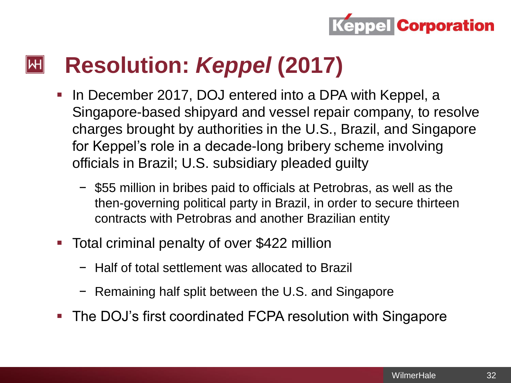

#### **Resolution:** *Keppel* **(2017)**  $\mathsf{|\mathsf{H}|}$

- In December 2017, DOJ entered into a DPA with Keppel, a Singapore-based shipyard and vessel repair company, to resolve charges brought by authorities in the U.S., Brazil, and Singapore for Keppel's role in a decade-long bribery scheme involving officials in Brazil; U.S. subsidiary pleaded guilty
	- − \$55 million in bribes paid to officials at Petrobras, as well as the then-governing political party in Brazil, in order to secure thirteen contracts with Petrobras and another Brazilian entity
- Total criminal penalty of over \$422 million
	- − Half of total settlement was allocated to Brazil
	- − Remaining half split between the U.S. and Singapore
- The DOJ's first coordinated FCPA resolution with Singapore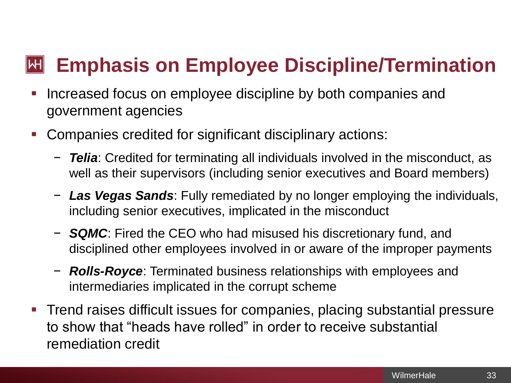#### **Emphasis on Employee Discipline/Termination** ∥WH

- Increased focus on employee discipline by both companies and government agencies
- Companies credited for significant disciplinary actions:
	- − *Telia*: Credited for terminating all individuals involved in the misconduct, as well as their supervisors (including senior executives and Board members)
	- − *Las Vegas Sands*: Fully remediated by no longer employing the individuals, including senior executives, implicated in the misconduct
	- − *SQMC*: Fired the CEO who had misused his discretionary fund, and disciplined other employees involved in or aware of the improper payments
	- − *Rolls-Royce*: Terminated business relationships with employees and intermediaries implicated in the corrupt scheme
- Trend raises difficult issues for companies, placing substantial pressure to show that "heads have rolled" in order to receive substantial remediation credit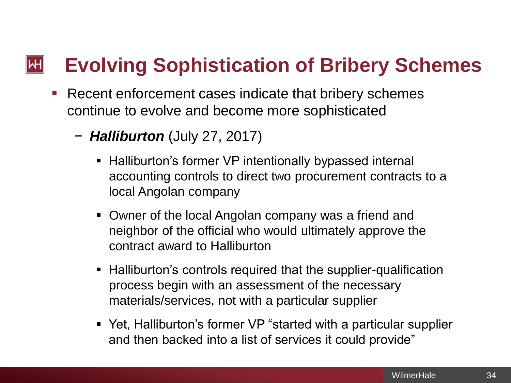#### **Evolving Sophistication of Bribery Schemes**  $\mathsf{H}\vert$

- Recent enforcement cases indicate that bribery schemes continue to evolve and become more sophisticated
	- − *Halliburton* (July 27, 2017)
		- Halliburton's former VP intentionally bypassed internal accounting controls to direct two procurement contracts to a local Angolan company
		- Owner of the local Angolan company was a friend and neighbor of the official who would ultimately approve the contract award to Halliburton
		- Halliburton's controls required that the supplier-qualification process begin with an assessment of the necessary materials/services, not with a particular supplier
		- Yet, Halliburton's former VP "started with a particular supplier and then backed into a list of services it could provide"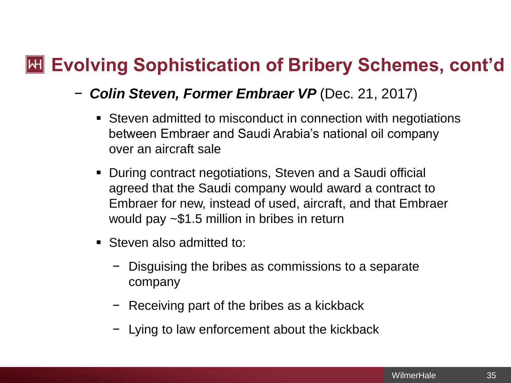### **Exolving Sophistication of Bribery Schemes, cont'd**

- − *Colin Steven, Former Embraer VP* (Dec. 21, 2017)
	- Steven admitted to misconduct in connection with negotiations between Embraer and Saudi Arabia's national oil company over an aircraft sale
	- During contract negotiations, Steven and a Saudi official agreed that the Saudi company would award a contract to Embraer for new, instead of used, aircraft, and that Embraer would pay ~\$1.5 million in bribes in return
	- Steven also admitted to:
		- − Disguising the bribes as commissions to a separate company
		- − Receiving part of the bribes as a kickback
		- − Lying to law enforcement about the kickback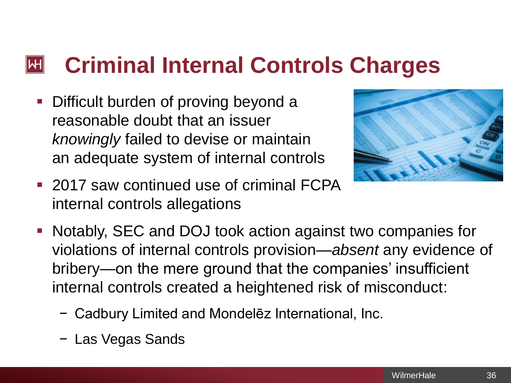#### **Criminal Internal Controls Charges** ∥WH

■ Difficult burden of proving beyond a reasonable doubt that an issuer *knowingly* failed to devise or maintain an adequate system of internal controls



- 2017 saw continued use of criminal FCPA internal controls allegations
- Notably, SEC and DOJ took action against two companies for violations of internal controls provision—*absent* any evidence of bribery—on the mere ground that the companies' insufficient internal controls created a heightened risk of misconduct:
	- − Cadbury Limited and Mondelēz International, Inc.
	- − Las Vegas Sands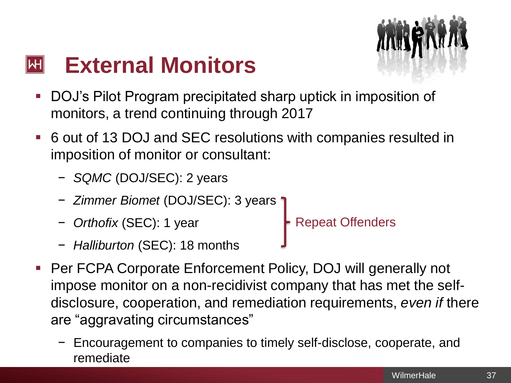

#### **External Monitors**  $|\mathsf{H}|$

- DOJ's Pilot Program precipitated sharp uptick in imposition of monitors, a trend continuing through 2017
- 6 out of 13 DOJ and SEC resolutions with companies resulted in imposition of monitor or consultant:
	- − *SQMC* (DOJ/SEC): 2 years
	- − *Zimmer Biomet* (DOJ/SEC): 3 years
	- − *Orthofix* (SEC): 1 year Repeat Offenders
	- − *Halliburton* (SEC): 18 months
- 
- Per FCPA Corporate Enforcement Policy, DOJ will generally not impose monitor on a non-recidivist company that has met the selfdisclosure, cooperation, and remediation requirements, *even if* there are "aggravating circumstances"
	- − Encouragement to companies to timely self-disclose, cooperate, and remediate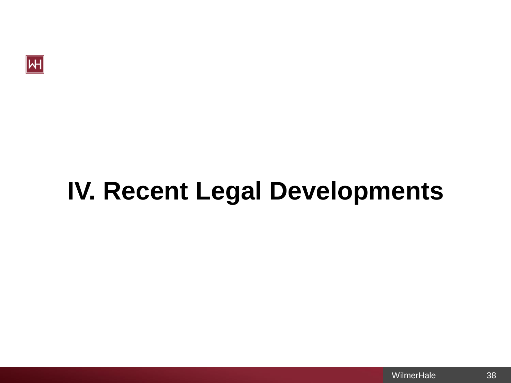

# **IV. Recent Legal Developments**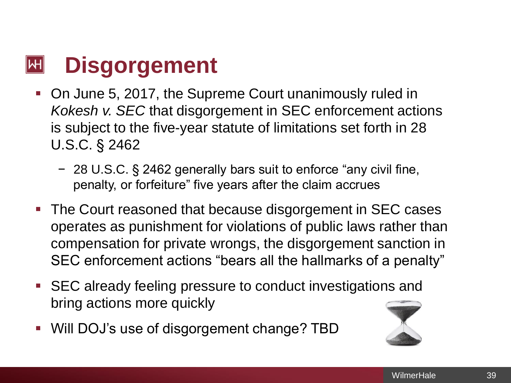#### **Disgorgement**  $\mathsf{|\mathsf{H}|}$

- On June 5, 2017, the Supreme Court unanimously ruled in *Kokesh v. SEC* that disgorgement in SEC enforcement actions is subject to the five-year statute of limitations set forth in 28 U.S.C. § 2462
	- − 28 U.S.C. § 2462 generally bars suit to enforce "any civil fine, penalty, or forfeiture" five years after the claim accrues
- The Court reasoned that because disgorgement in SEC cases operates as punishment for violations of public laws rather than compensation for private wrongs, the disgorgement sanction in SEC enforcement actions "bears all the hallmarks of a penalty"
- SEC already feeling pressure to conduct investigations and bring actions more quickly
- Will DOJ's use of disgorgement change? TBD

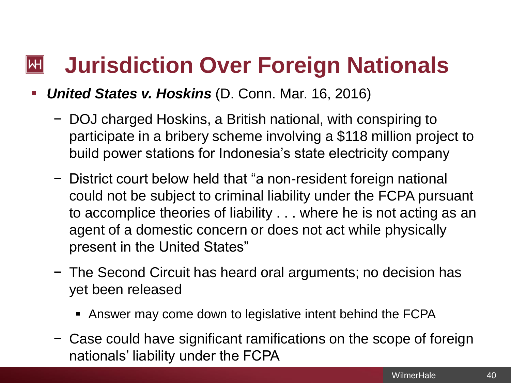#### **Jurisdiction Over Foreign Nationals**  $\left\Vert \mathsf{H}\right\Vert$

#### **United States v. Hoskins (D. Conn. Mar. 16, 2016)**

- − DOJ charged Hoskins, a British national, with conspiring to participate in a bribery scheme involving a \$118 million project to build power stations for Indonesia's state electricity company
- − District court below held that "a non-resident foreign national could not be subject to criminal liability under the FCPA pursuant to accomplice theories of liability . . . where he is not acting as an agent of a domestic concern or does not act while physically present in the United States"
- − The Second Circuit has heard oral arguments; no decision has yet been released
	- Answer may come down to legislative intent behind the FCPA
- − Case could have significant ramifications on the scope of foreign nationals' liability under the FCPA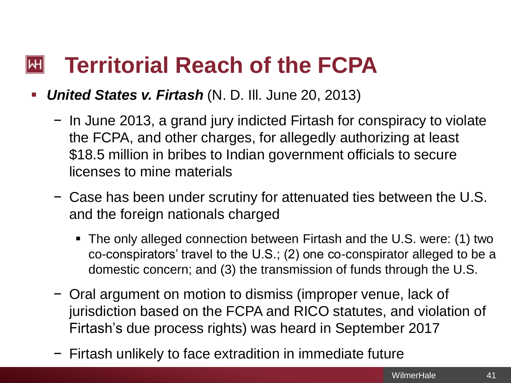#### **Territorial Reach of the FCPA**  $\left\Vert \mathsf{H}\right\Vert$

- *United States v. Firtash* (N. D. Ill. June 20, 2013)
	- − In June 2013, a grand jury indicted Firtash for conspiracy to violate the FCPA, and other charges, for allegedly authorizing at least \$18.5 million in bribes to Indian government officials to secure licenses to mine materials
	- − Case has been under scrutiny for attenuated ties between the U.S. and the foreign nationals charged
		- The only alleged connection between Firtash and the U.S. were: (1) two co-conspirators' travel to the U.S.; (2) one co-conspirator alleged to be a domestic concern; and (3) the transmission of funds through the U.S.
	- − Oral argument on motion to dismiss (improper venue, lack of jurisdiction based on the FCPA and RICO statutes, and violation of Firtash's due process rights) was heard in September 2017
	- − Firtash unlikely to face extradition in immediate future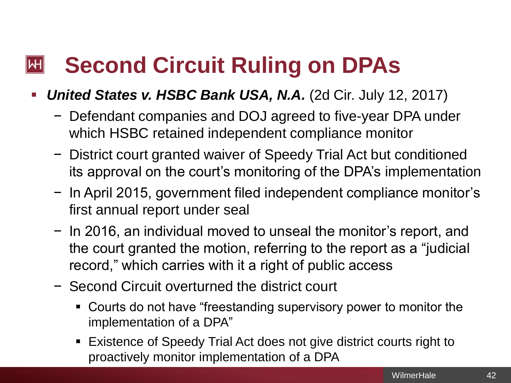#### **Second Circuit Ruling on DPAs**  $\left\Vert \mathsf{H}\right\Vert$

- *United States v. HSBC Bank USA, N.A.* (2d Cir. July 12, 2017)
	- − Defendant companies and DOJ agreed to five-year DPA under which HSBC retained independent compliance monitor
	- − District court granted waiver of Speedy Trial Act but conditioned its approval on the court's monitoring of the DPA's implementation
	- − In April 2015, government filed independent compliance monitor's first annual report under seal
	- − In 2016, an individual moved to unseal the monitor's report, and the court granted the motion, referring to the report as a "judicial record," which carries with it a right of public access
	- − Second Circuit overturned the district court
		- Courts do not have "freestanding supervisory power to monitor the implementation of a DPA"
		- Existence of Speedy Trial Act does not give district courts right to proactively monitor implementation of a DPA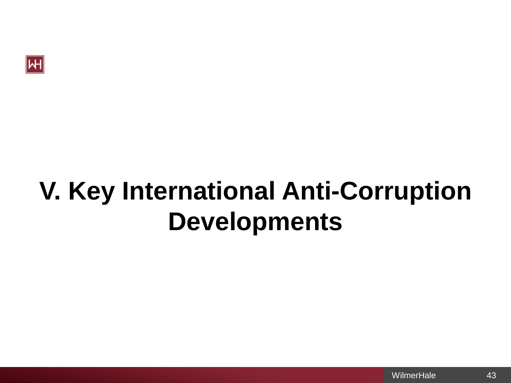

# **V. Key International Anti-Corruption Developments**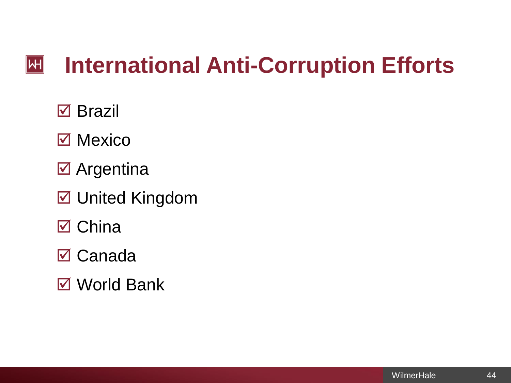#### $|\mathsf{H}|$ **International Anti-Corruption Efforts**

 $\boxtimes$  Brazil

- $\boxtimes$  Mexico
- **Ø** Argentina
- $\boxed{ }$  United Kingdom
- $\boxtimes$  China
- **⊠ Canada**
- **Ø** World Bank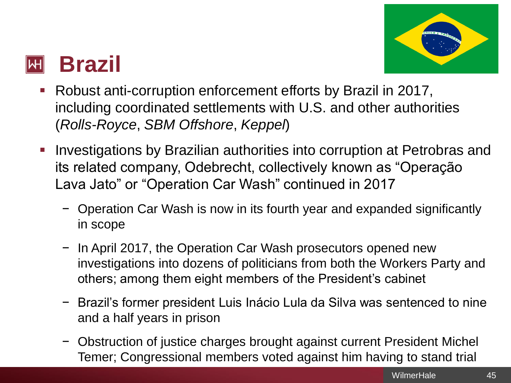

#### **Brazil**  $\mathbb H$

- Robust anti-corruption enforcement efforts by Brazil in 2017, including coordinated settlements with U.S. and other authorities (*Rolls-Royce*, *SBM Offshore*, *Keppel*)
- Investigations by Brazilian authorities into corruption at Petrobras and its related company, Odebrecht, collectively known as "Operação Lava Jato" or "Operation Car Wash" continued in 2017
	- − Operation Car Wash is now in its fourth year and expanded significantly in scope
	- − In April 2017, the Operation Car Wash prosecutors opened new investigations into dozens of politicians from both the Workers Party and others; among them eight members of the President's cabinet
	- − Brazil's former president Luis Inácio Lula da Silva was sentenced to nine and a half years in prison
	- − Obstruction of justice charges brought against current President Michel Temer; Congressional members voted against him having to stand trial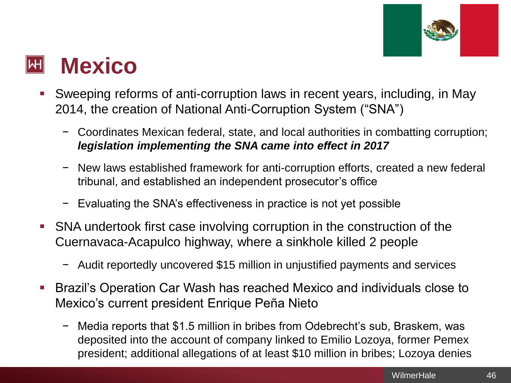

#### **Mexico**  $\left\Vert \mathsf{H}\right\Vert$

- Sweeping reforms of anti-corruption laws in recent years, including, in May 2014, the creation of National Anti-Corruption System ("SNA")
	- − Coordinates Mexican federal, state, and local authorities in combatting corruption; *legislation implementing the SNA came into effect in 2017*
	- − New laws established framework for anti-corruption efforts, created a new federal tribunal, and established an independent prosecutor's office
	- − Evaluating the SNA's effectiveness in practice is not yet possible
- **SNA undertook first case involving corruption in the construction of the** Cuernavaca-Acapulco highway, where a sinkhole killed 2 people
	- − Audit reportedly uncovered \$15 million in unjustified payments and services
- Brazil's Operation Car Wash has reached Mexico and individuals close to Mexico's current president Enrique Peña Nieto
	- − Media reports that \$1.5 million in bribes from Odebrecht's sub, Braskem, was deposited into the account of company linked to Emilio Lozoya, former Pemex president; additional allegations of at least \$10 million in bribes; Lozoya denies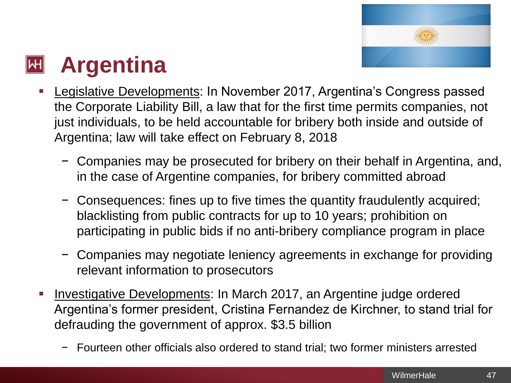

#### **Argentina**  $\left\Vert \mathsf{H}\right\Vert$

- Legislative Developments: In November 2017, Argentina's Congress passed the Corporate Liability Bill, a law that for the first time permits companies, not just individuals, to be held accountable for bribery both inside and outside of Argentina; law will take effect on February 8, 2018
	- − Companies may be prosecuted for bribery on their behalf in Argentina, and, in the case of Argentine companies, for bribery committed abroad
	- − Consequences: fines up to five times the quantity fraudulently acquired; blacklisting from public contracts for up to 10 years; prohibition on participating in public bids if no anti-bribery compliance program in place
	- − Companies may negotiate leniency agreements in exchange for providing relevant information to prosecutors
- Investigative Developments: In March 2017, an Argentine judge ordered Argentina's former president, Cristina Fernandez de Kirchner, to stand trial for defrauding the government of approx. \$3.5 billion
	- Fourteen other officials also ordered to stand trial; two former ministers arrested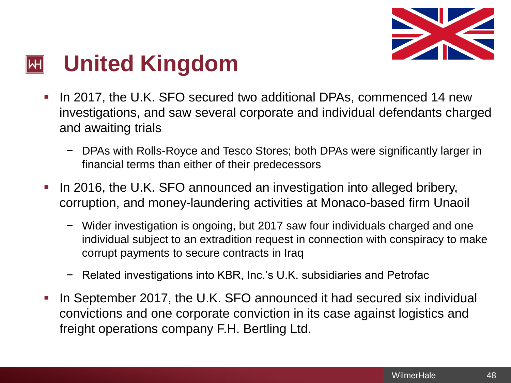

#### **United Kingdom**  $\left\vert \mathsf{H}\right\vert$

- **.** In 2017, the U.K. SFO secured two additional DPAs, commenced 14 new investigations, and saw several corporate and individual defendants charged and awaiting trials
	- − DPAs with Rolls-Royce and Tesco Stores; both DPAs were significantly larger in financial terms than either of their predecessors
- In 2016, the U.K. SFO announced an investigation into alleged bribery, corruption, and money-laundering activities at Monaco-based firm Unaoil
	- − Wider investigation is ongoing, but 2017 saw four individuals charged and one individual subject to an extradition request in connection with conspiracy to make corrupt payments to secure contracts in Iraq
	- Related investigations into KBR, Inc.'s U.K. subsidiaries and Petrofac
- In September 2017, the U.K. SFO announced it had secured six individual convictions and one corporate conviction in its case against logistics and freight operations company F.H. Bertling Ltd.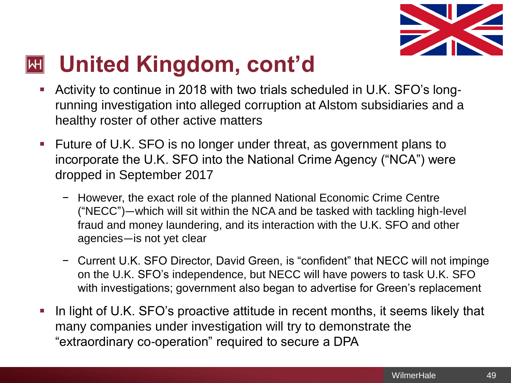

#### **United Kingdom, cont'd**  $\mathsf{|\mathsf{H}|}$

- Activity to continue in 2018 with two trials scheduled in U.K. SFO's longrunning investigation into alleged corruption at Alstom subsidiaries and a healthy roster of other active matters
- Future of U.K. SFO is no longer under threat, as government plans to incorporate the U.K. SFO into the National Crime Agency ("NCA") were dropped in September 2017
	- − However, the exact role of the planned National Economic Crime Centre ("NECC")—which will sit within the NCA and be tasked with tackling high-level fraud and money laundering, and its interaction with the U.K. SFO and other agencies—is not yet clear
	- − Current U.K. SFO Director, David Green, is "confident" that NECC will not impinge on the U.K. SFO's independence, but NECC will have powers to task U.K. SFO with investigations; government also began to advertise for Green's replacement
- In light of U.K. SFO's proactive attitude in recent months, it seems likely that many companies under investigation will try to demonstrate the "extraordinary co-operation" required to secure a DPA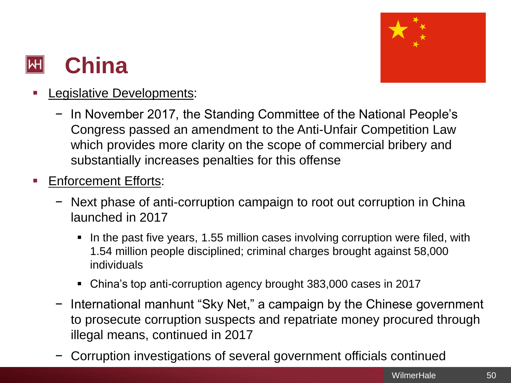

#### **China**  $\mathsf{|\mathsf{H}|}$

- **Legislative Developments:** 
	- − In November 2017, the Standing Committee of the National People's Congress passed an amendment to the Anti-Unfair Competition Law which provides more clarity on the scope of commercial bribery and substantially increases penalties for this offense
- **Enforcement Efforts:** 
	- − Next phase of anti-corruption campaign to root out corruption in China launched in 2017
		- In the past five years, 1.55 million cases involving corruption were filed, with 1.54 million people disciplined; criminal charges brought against 58,000 individuals
		- China's top anti-corruption agency brought 383,000 cases in 2017
	- − International manhunt "Sky Net," a campaign by the Chinese government to prosecute corruption suspects and repatriate money procured through illegal means, continued in 2017
	- − Corruption investigations of several government officials continued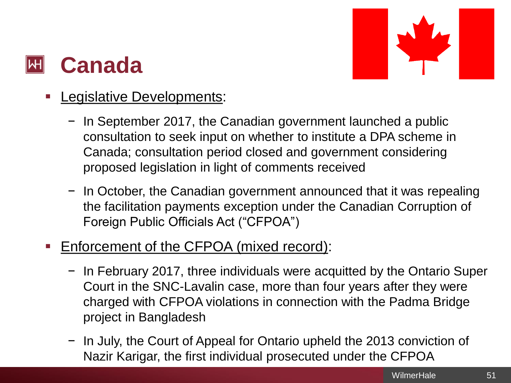### **Canada**



- **Legislative Developments:** 
	- − In September 2017, the Canadian government launched a public consultation to seek input on whether to institute a DPA scheme in Canada; consultation period closed and government considering proposed legislation in light of comments received
	- − In October, the Canadian government announced that it was repealing the facilitation payments exception under the Canadian Corruption of Foreign Public Officials Act ("CFPOA")
- Enforcement of the CFPOA (mixed record):
	- − In February 2017, three individuals were acquitted by the Ontario Super Court in the SNC-Lavalin case, more than four years after they were charged with CFPOA violations in connection with the Padma Bridge project in Bangladesh
	- − In July, the Court of Appeal for Ontario upheld the 2013 conviction of Nazir Karigar, the first individual prosecuted under the CFPOA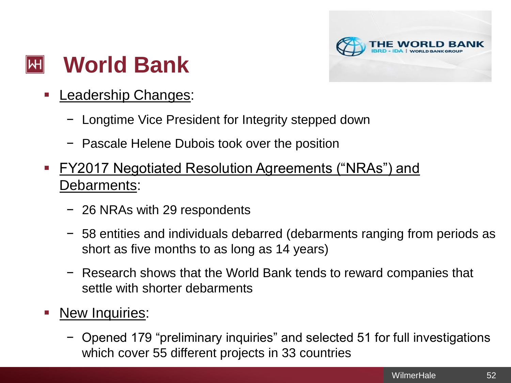

#### **World Bank**  $\left\Vert \mathsf{H}\right\Vert$

- **Leadership Changes:** 
	- − Longtime Vice President for Integrity stepped down
	- − Pascale Helene Dubois took over the position
- FY2017 Negotiated Resolution Agreements ("NRAs") and Debarments:
	- − 26 NRAs with 29 respondents
	- − 58 entities and individuals debarred (debarments ranging from periods as short as five months to as long as 14 years)
	- − Research shows that the World Bank tends to reward companies that settle with shorter debarments
- **E** New Inquiries:
	- − Opened 179 "preliminary inquiries" and selected 51 for full investigations which cover 55 different projects in 33 countries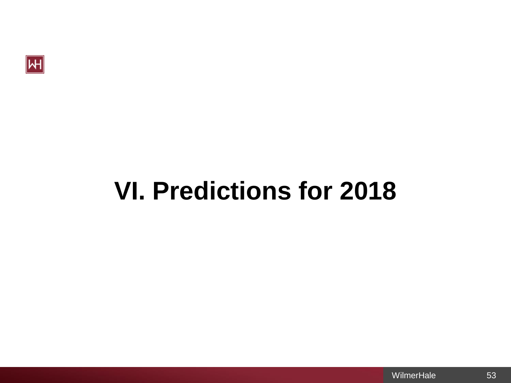

# **VI. Predictions for 2018**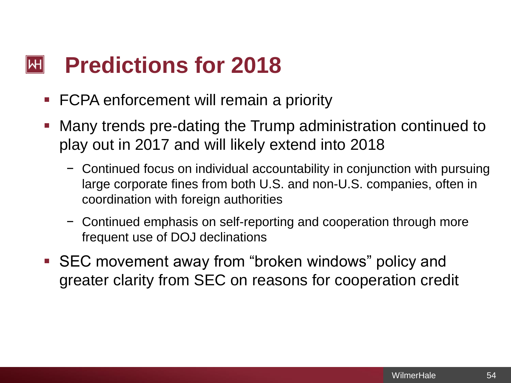#### **Predictions for 2018**  $\left\Vert \mathsf{H}\right\Vert$

- **FCPA enforcement will remain a priority**
- **Many trends pre-dating the Trump administration continued to** play out in 2017 and will likely extend into 2018
	- − Continued focus on individual accountability in conjunction with pursuing large corporate fines from both U.S. and non-U.S. companies, often in coordination with foreign authorities
	- − Continued emphasis on self-reporting and cooperation through more frequent use of DOJ declinations
- SEC movement away from "broken windows" policy and greater clarity from SEC on reasons for cooperation credit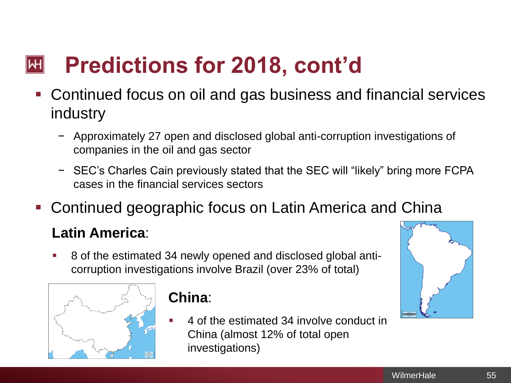#### **Predictions for 2018, cont'd**  $\left\Vert \mathsf{H}\right\Vert$

- Continued focus on oil and gas business and financial services industry
	- − Approximately 27 open and disclosed global anti-corruption investigations of companies in the oil and gas sector
	- − SEC's Charles Cain previously stated that the SEC will "likely" bring more FCPA cases in the financial services sectors
- Continued geographic focus on Latin America and China

### **Latin America**:

8 of the estimated 34 newly opened and disclosed global anticorruption investigations involve Brazil (over 23% of total)



### **China**:

4 of the estimated 34 involve conduct in China (almost 12% of total open investigations)